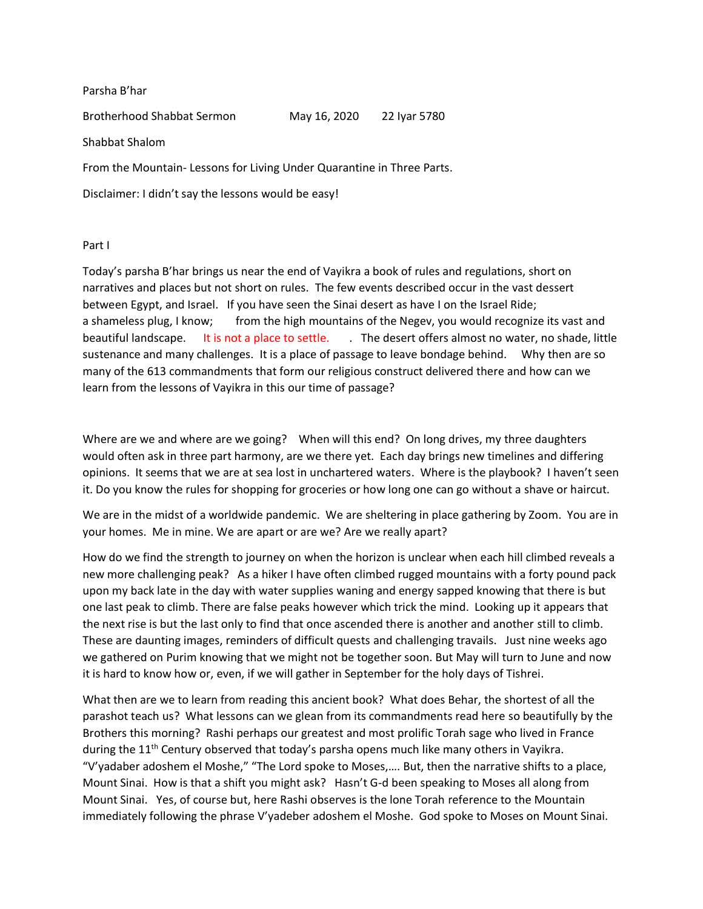Parsha B'har

Brotherhood Shabbat Sermon May 16, 2020 22 Iyar 5780

Shabbat Shalom

From the Mountain- Lessons for Living Under Quarantine in Three Parts.

Disclaimer: I didn't say the lessons would be easy!

Part I

Today's parsha B'har brings us near the end of Vayikra a book of rules and regulations, short on narratives and places but not short on rules. The few events described occur in the vast dessert between Egypt, and Israel. If you have seen the Sinai desert as have I on the Israel Ride; a shameless plug, I know; from the high mountains of the Negev, you would recognize its vast and beautiful landscape. It is not a place to settle. . The desert offers almost no water, no shade, little sustenance and many challenges. It is a place of passage to leave bondage behind. Why then are so many of the 613 commandments that form our religious construct delivered there and how can we learn from the lessons of Vayikra in this our time of passage?

Where are we and where are we going? When will this end? On long drives, my three daughters would often ask in three part harmony, are we there yet. Each day brings new timelines and differing opinions. It seems that we are at sea lost in unchartered waters. Where is the playbook? I haven't seen it. Do you know the rules for shopping for groceries or how long one can go without a shave or haircut.

We are in the midst of a worldwide pandemic. We are sheltering in place gathering by Zoom. You are in your homes. Me in mine. We are apart or are we? Are we really apart?

How do we find the strength to journey on when the horizon is unclear when each hill climbed reveals a new more challenging peak? As a hiker I have often climbed rugged mountains with a forty pound pack upon my back late in the day with water supplies waning and energy sapped knowing that there is but one last peak to climb. There are false peaks however which trick the mind. Looking up it appears that the next rise is but the last only to find that once ascended there is another and another still to climb. These are daunting images, reminders of difficult quests and challenging travails. Just nine weeks ago we gathered on Purim knowing that we might not be together soon. But May will turn to June and now it is hard to know how or, even, if we will gather in September for the holy days of Tishrei.

What then are we to learn from reading this ancient book? What does Behar, the shortest of all the parashot teach us? What lessons can we glean from its commandments read here so beautifully by the Brothers this morning? Rashi perhaps our greatest and most prolific Torah sage who lived in France during the 11<sup>th</sup> Century observed that today's parsha opens much like many others in Vayikra. "V'yadaber adoshem el Moshe," "The Lord spoke to Moses,…. But, then the narrative shifts to a place, Mount Sinai. How is that a shift you might ask? Hasn't G-d been speaking to Moses all along from Mount Sinai. Yes, of course but, here Rashi observes is the lone Torah reference to the Mountain immediately following the phrase V'yadeber adoshem el Moshe. God spoke to Moses on Mount Sinai.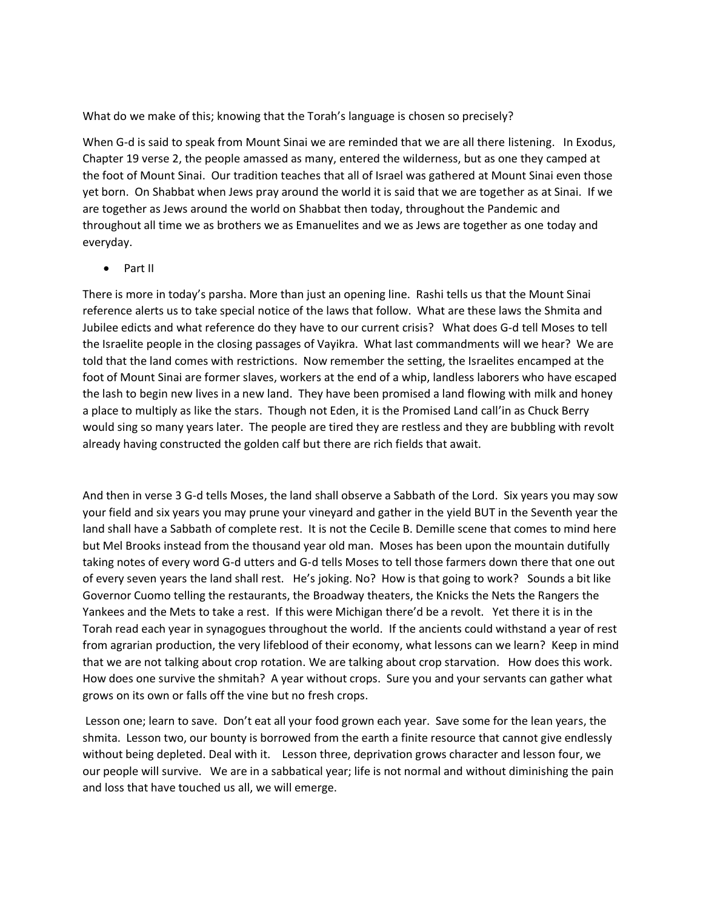What do we make of this; knowing that the Torah's language is chosen so precisely?

When G-d is said to speak from Mount Sinai we are reminded that we are all there listening. In Exodus, Chapter 19 verse 2, the people amassed as many, entered the wilderness, but as one they camped at the foot of Mount Sinai. Our tradition teaches that all of Israel was gathered at Mount Sinai even those yet born. On Shabbat when Jews pray around the world it is said that we are together as at Sinai. If we are together as Jews around the world on Shabbat then today, throughout the Pandemic and throughout all time we as brothers we as Emanuelites and we as Jews are together as one today and everyday.

• Part II

There is more in today's parsha. More than just an opening line. Rashi tells us that the Mount Sinai reference alerts us to take special notice of the laws that follow. What are these laws the Shmita and Jubilee edicts and what reference do they have to our current crisis? What does G-d tell Moses to tell the Israelite people in the closing passages of Vayikra. What last commandments will we hear? We are told that the land comes with restrictions. Now remember the setting, the Israelites encamped at the foot of Mount Sinai are former slaves, workers at the end of a whip, landless laborers who have escaped the lash to begin new lives in a new land. They have been promised a land flowing with milk and honey a place to multiply as like the stars. Though not Eden, it is the Promised Land call'in as Chuck Berry would sing so many years later. The people are tired they are restless and they are bubbling with revolt already having constructed the golden calf but there are rich fields that await.

And then in verse 3 G-d tells Moses, the land shall observe a Sabbath of the Lord. Six years you may sow your field and six years you may prune your vineyard and gather in the yield BUT in the Seventh year the land shall have a Sabbath of complete rest. It is not the Cecile B. Demille scene that comes to mind here but Mel Brooks instead from the thousand year old man. Moses has been upon the mountain dutifully taking notes of every word G-d utters and G-d tells Moses to tell those farmers down there that one out of every seven years the land shall rest. He's joking. No? How is that going to work? Sounds a bit like Governor Cuomo telling the restaurants, the Broadway theaters, the Knicks the Nets the Rangers the Yankees and the Mets to take a rest. If this were Michigan there'd be a revolt. Yet there it is in the Torah read each year in synagogues throughout the world. If the ancients could withstand a year of rest from agrarian production, the very lifeblood of their economy, what lessons can we learn? Keep in mind that we are not talking about crop rotation. We are talking about crop starvation. How does this work. How does one survive the shmitah? A year without crops. Sure you and your servants can gather what grows on its own or falls off the vine but no fresh crops.

Lesson one; learn to save. Don't eat all your food grown each year. Save some for the lean years, the shmita. Lesson two, our bounty is borrowed from the earth a finite resource that cannot give endlessly without being depleted. Deal with it. Lesson three, deprivation grows character and lesson four, we our people will survive. We are in a sabbatical year; life is not normal and without diminishing the pain and loss that have touched us all, we will emerge.